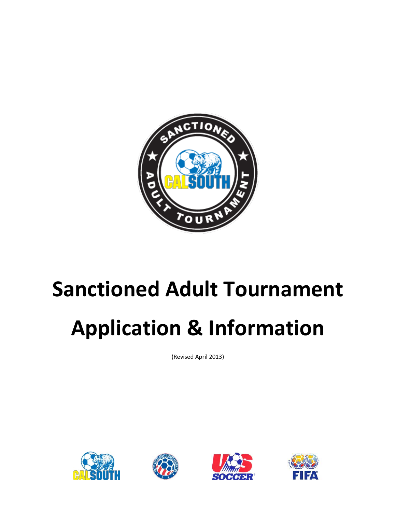

## **Sanctioned Adult Tournament**

# **Application & Information**

(Revised April 2013)







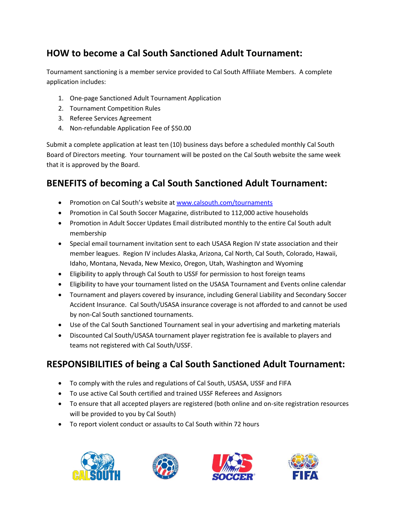#### **HOW to become a Cal South Sanctioned Adult Tournament:**

Tournament sanctioning is a member service provided to Cal South Affiliate Members. A complete application includes:

- 1. One-page Sanctioned Adult Tournament Application
- 2. Tournament Competition Rules
- 3. Referee Services Agreement
- 4. Non-refundable Application Fee of \$50.00

Submit a complete application at least ten (10) business days before a scheduled monthly Cal South Board of Directors meeting. Your tournament will be posted on the Cal South website the same week that it is approved by the Board.

#### **BENEFITS of becoming a Cal South Sanctioned Adult Tournament:**

- Promotion on Cal South's website at [www.calsouth.com/tournaments](http://www.calsouth.com/tournaments)
- Promotion in Cal South Soccer Magazine, distributed to 112,000 active households
- Promotion in Adult Soccer Updates Email distributed monthly to the entire Cal South adult membership
- Special email tournament invitation sent to each USASA Region IV state association and their member leagues. Region IV includes Alaska, Arizona, Cal North, Cal South, Colorado, Hawaii, Idaho, Montana, Nevada, New Mexico, Oregon, Utah, Washington and Wyoming
- Eligibility to apply through Cal South to USSF for permission to host foreign teams
- Eligibility to have your tournament listed on the USASA Tournament and Events online calendar
- Tournament and players covered by insurance, including General Liability and Secondary Soccer Accident Insurance. Cal South/USASA insurance coverage is not afforded to and cannot be used by non-Cal South sanctioned tournaments.
- Use of the Cal South Sanctioned Tournament seal in your advertising and marketing materials
- Discounted Cal South/USASA tournament player registration fee is available to players and teams not registered with Cal South/USSF.

#### **RESPONSIBILITIES of being a Cal South Sanctioned Adult Tournament:**

- To comply with the rules and regulations of Cal South, USASA, USSF and FIFA
- To use active Cal South certified and trained USSF Referees and Assignors
- To ensure that all accepted players are registered (both online and on-site registration resources will be provided to you by Cal South)
- To report violent conduct or assaults to Cal South within 72 hours







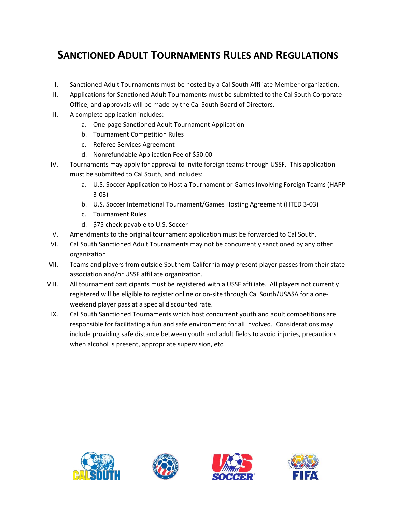### **SANCTIONED ADULT TOURNAMENTS RULES AND REGULATIONS**

- I. Sanctioned Adult Tournaments must be hosted by a Cal South Affiliate Member organization.
- II. Applications for Sanctioned Adult Tournaments must be submitted to the Cal South Corporate Office, and approvals will be made by the Cal South Board of Directors.
- III. A complete application includes:
	- a. One-page Sanctioned Adult Tournament Application
	- b. Tournament Competition Rules
	- c. Referee Services Agreement
	- d. Nonrefundable Application Fee of \$50.00
- IV. Tournaments may apply for approval to invite foreign teams through USSF. This application must be submitted to Cal South, and includes:
	- a. U.S. Soccer Application to Host a Tournament or Games Involving Foreign Teams (HAPP 3-03)
	- b. U.S. Soccer International Tournament/Games Hosting Agreement (HTED 3-03)
	- c. Tournament Rules
	- d. \$75 check payable to U.S. Soccer
- V. Amendments to the original tournament application must be forwarded to Cal South.
- VI. Cal South Sanctioned Adult Tournaments may not be concurrently sanctioned by any other organization.
- VII. Teams and players from outside Southern California may present player passes from their state association and/or USSF affiliate organization.
- VIII. All tournament participants must be registered with a USSF affiliate. All players not currently registered will be eligible to register online or on-site through Cal South/USASA for a oneweekend player pass at a special discounted rate.
- IX. Cal South Sanctioned Tournaments which host concurrent youth and adult competitions are responsible for facilitating a fun and safe environment for all involved. Considerations may include providing safe distance between youth and adult fields to avoid injuries, precautions when alcohol is present, appropriate supervision, etc.







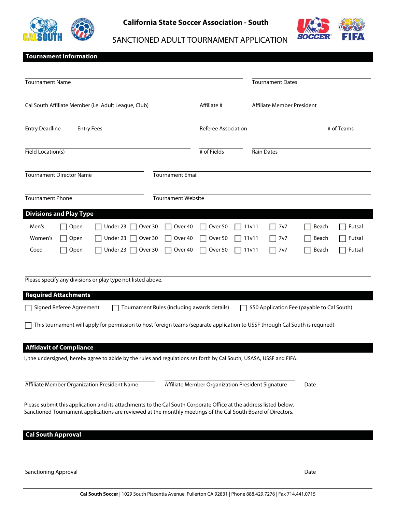

**California State Soccer Association - South**



SANCTIONED ADULT TOURNAMENT APPLICATION

#### **Tournament Information**

| <b>Tournament Name</b>                                                                                                                                                                                                            |                                                                |                                                   | <b>Tournament Dates</b> |                            |                                             |                            |
|-----------------------------------------------------------------------------------------------------------------------------------------------------------------------------------------------------------------------------------|----------------------------------------------------------------|---------------------------------------------------|-------------------------|----------------------------|---------------------------------------------|----------------------------|
| Cal South Affiliate Member (i.e. Adult League, Club)                                                                                                                                                                              |                                                                | Affiliate #                                       |                         | Affiliate Member President |                                             |                            |
| <b>Entry Deadline</b><br><b>Entry Fees</b>                                                                                                                                                                                        |                                                                | Referee Association                               |                         |                            |                                             | # of Teams                 |
| Field Location(s)                                                                                                                                                                                                                 |                                                                | # of Fields                                       | <b>Rain Dates</b>       |                            |                                             |                            |
| <b>Tournament Director Name</b>                                                                                                                                                                                                   | <b>Tournament Email</b>                                        |                                                   |                         |                            |                                             |                            |
| <b>Tournament Phone</b>                                                                                                                                                                                                           | <b>Tournament Website</b>                                      |                                                   |                         |                            |                                             |                            |
| <b>Divisions and Play Type</b>                                                                                                                                                                                                    |                                                                |                                                   |                         |                            |                                             |                            |
| Men's<br>Open<br>Under 23<br>Women's<br>Open<br>Under 23<br>Open<br>Under 23<br>Coed                                                                                                                                              | Over 30<br>Over 40<br>Over 40<br>Over 30<br>Over 30<br>Over 40 | Over 50<br>Over 50<br>Over 50                     | 11v11<br>11v11<br>11v11 | 7v7<br>7v7<br>7v7          | Beach<br>Beach<br>Beach                     | Futsal<br>Futsal<br>Futsal |
| Please specify any divisions or play type not listed above.                                                                                                                                                                       |                                                                |                                                   |                         |                            |                                             |                            |
| <b>Required Attachments</b>                                                                                                                                                                                                       |                                                                |                                                   |                         |                            |                                             |                            |
| Signed Referee Agreement                                                                                                                                                                                                          | Tournament Rules (including awards details)                    |                                                   |                         |                            | \$50 Application Fee (payable to Cal South) |                            |
| This tournament will apply for permission to host foreign teams (separate application to USSF through Cal South is required)                                                                                                      |                                                                |                                                   |                         |                            |                                             |                            |
| <b>Affidavit of Compliance</b>                                                                                                                                                                                                    |                                                                |                                                   |                         |                            |                                             |                            |
| I, the undersigned, hereby agree to abide by the rules and regulations set forth by Cal South, USASA, USSF and FIFA                                                                                                               |                                                                |                                                   |                         |                            |                                             |                            |
| Affiliate Member Organization President Name                                                                                                                                                                                      |                                                                | Affiliate Member Organization President Signature |                         |                            | Date                                        |                            |
| Please submit this application and its attachments to the Cal South Corporate Office at the address listed below.<br>Sanctioned Tournament applications are reviewed at the monthly meetings of the Cal South Board of Directors. |                                                                |                                                   |                         |                            |                                             |                            |
| <b>Cal South Approval</b>                                                                                                                                                                                                         |                                                                |                                                   |                         |                            |                                             |                            |
|                                                                                                                                                                                                                                   |                                                                |                                                   |                         |                            |                                             |                            |
|                                                                                                                                                                                                                                   |                                                                |                                                   |                         |                            |                                             |                            |

**Cal South Soccer** | 1029 South Placentia Avenue, Fullerton CA 92831 | Phone 888.429.7276 | Fax 714.441.0715

**Sanctioning Approval** Date **Date**